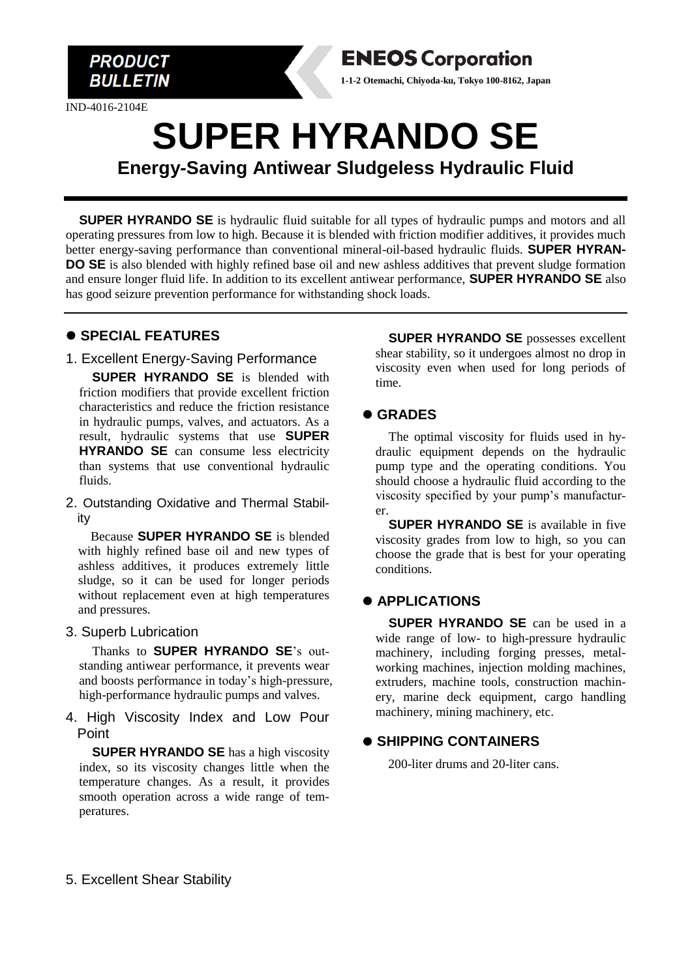

IND-4016-2104E



# **SUPER HYRANDO SE Energy-Saving Antiwear Sludgeless Hydraulic Fluid**

**SUPER HYRANDO SE** is hydraulic fluid suitable for all types of hydraulic pumps and motors and all operating pressures from low to high. Because it is blended with friction modifier additives, it provides much better energy-saving performance than conventional mineral-oil-based hydraulic fluids. **SUPER HYRAN-DO SE** is also blended with highly refined base oil and new ashless additives that prevent sludge formation and ensure longer fluid life. In addition to its excellent antiwear performance, **SUPER HYRANDO SE** also has good seizure prevention performance for withstanding shock loads.

#### ⚫ **SPECIAL FEATURES**

1. Excellent Energy-Saving Performance

**SUPER HYRANDO SE** is blended with friction modifiers that provide excellent friction characteristics and reduce the friction resistance in hydraulic pumps, valves, and actuators. As a result, hydraulic systems that use **SUPER HYRANDO SE** can consume less electricity than systems that use conventional hydraulic fluids.

2. Outstanding Oxidative and Thermal Stability

Because **SUPER HYRANDO SE** is blended with highly refined base oil and new types of ashless additives, it produces extremely little sludge, so it can be used for longer periods without replacement even at high temperatures and pressures.

#### 3. Superb Lubrication

Thanks to **SUPER HYRANDO SE**'s outstanding antiwear performance, it prevents wear and boosts performance in today's high-pressure, high-performance hydraulic pumps and valves.

4. High Viscosity Index and Low Pour Point

**SUPER HYRANDO SE** has a high viscosity index, so its viscosity changes little when the temperature changes. As a result, it provides smooth operation across a wide range of temperatures.

**SUPER HYRANDO SE** possesses excellent shear stability, so it undergoes almost no drop in viscosity even when used for long periods of time.

#### ⚫ **GRADES**

The optimal viscosity for fluids used in hydraulic equipment depends on the hydraulic pump type and the operating conditions. You should choose a hydraulic fluid according to the viscosity specified by your pump's manufacturer.

**SUPER HYRANDO SE** is available in five viscosity grades from low to high, so you can choose the grade that is best for your operating conditions.

### ⚫ **APPLICATIONS**

**SUPER HYRANDO SE** can be used in a wide range of low- to high-pressure hydraulic machinery, including forging presses, metalworking machines, injection molding machines, extruders, machine tools, construction machinery, marine deck equipment, cargo handling machinery, mining machinery, etc.

#### ⚫ **SHIPPING CONTAINERS**

200-liter drums and 20-liter cans.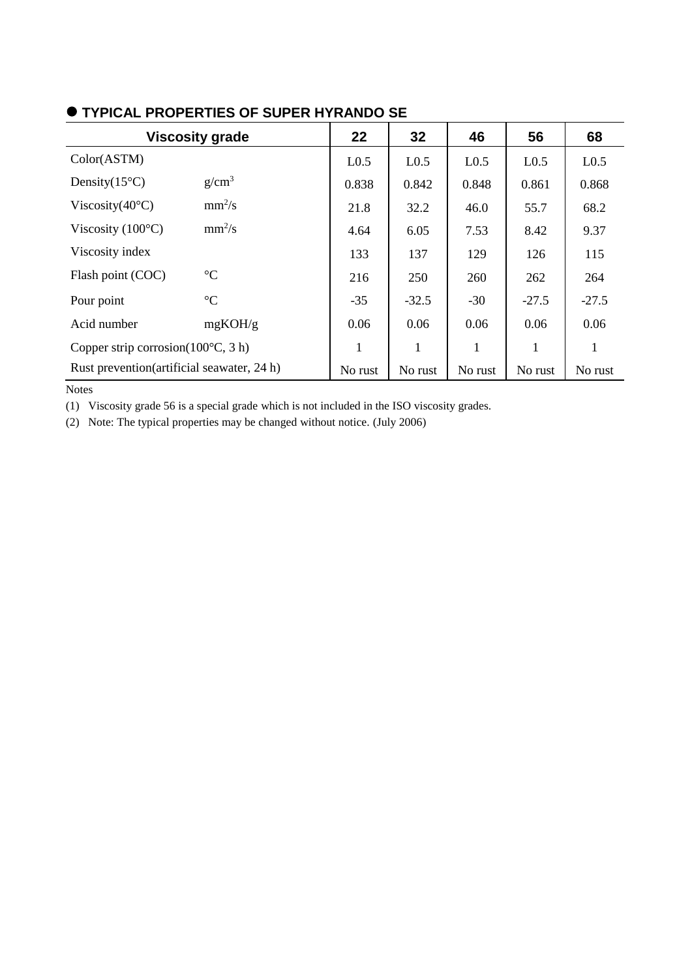| <b>Viscosity grade</b>                        |                   | 22               | 32               | 46               | 56               | 68               |
|-----------------------------------------------|-------------------|------------------|------------------|------------------|------------------|------------------|
| Color(ASTM)                                   |                   | L <sub>0.5</sub> | L <sub>0.5</sub> | L <sub>0.5</sub> | L <sub>0.5</sub> | L <sub>0.5</sub> |
| Density $(15^{\circ}C)$                       | g/cm <sup>3</sup> | 0.838            | 0.842            | 0.848            | 0.861            | 0.868            |
| Viscosity $(40^{\circ}C)$                     | $mm^2/s$          | 21.8             | 32.2             | 46.0             | 55.7             | 68.2             |
| Viscosity $(100^{\circ}C)$                    | $mm^2/s$          | 4.64             | 6.05             | 7.53             | 8.42             | 9.37             |
| Viscosity index                               |                   | 133              | 137              | 129              | 126              | 115              |
| Flash point (COC)                             | $\rm ^{\circ}C$   | 216              | 250              | 260              | 262              | 264              |
| Pour point                                    | $\rm ^{\circ}C$   | $-35$            | $-32.5$          | $-30$            | $-27.5$          | $-27.5$          |
| Acid number                                   | mgKOH/g           | 0.06             | 0.06             | 0.06             | 0.06             | 0.06             |
| Copper strip corrosion( $100^{\circ}$ C, 3 h) |                   | 1                | 1                | 1                | 1                | 1                |
| Rust prevention (artificial seawater, 24 h)   |                   | No rust          | No rust          | No rust          | No rust          | No rust          |

## ⚫ **TYPICAL PROPERTIES OF SUPER HYRANDO SE**

Notes

(1) Viscosity grade 56 is a special grade which is not included in the ISO viscosity grades.

(2) Note: The typical properties may be changed without notice. (July 2006)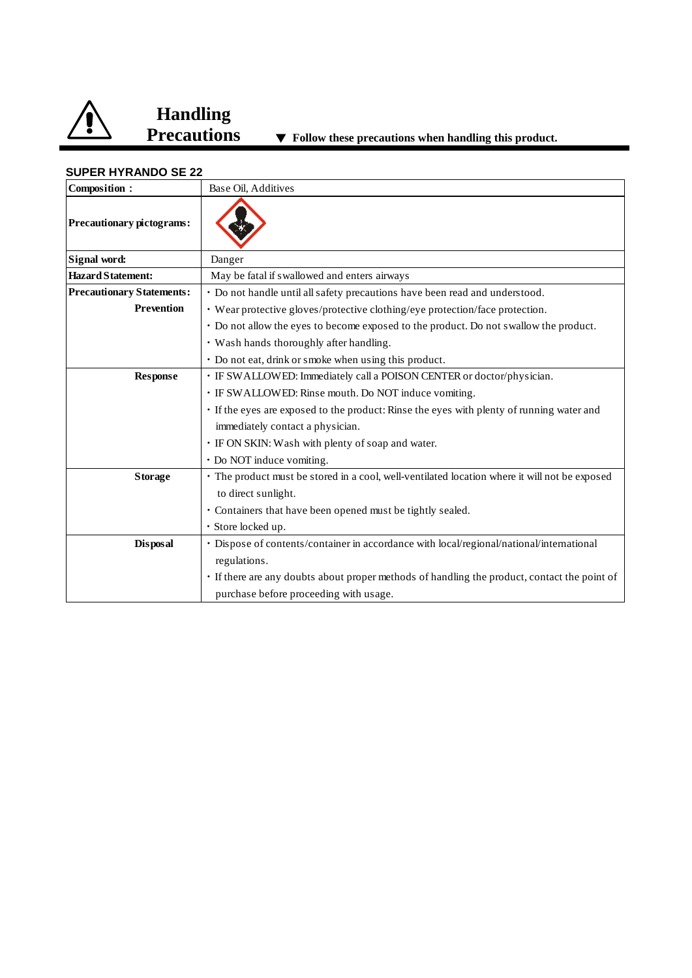

# **Handling**

| Composition:                     | Base Oil, Additives                                                                           |  |  |  |
|----------------------------------|-----------------------------------------------------------------------------------------------|--|--|--|
| <b>Precautionary pictograms:</b> |                                                                                               |  |  |  |
| Signal word:                     | Danger                                                                                        |  |  |  |
| <b>Hazard Statement:</b>         | May be fatal if swallowed and enters airways                                                  |  |  |  |
| <b>Precautionary Statements:</b> | • Do not handle until all safety precautions have been read and understood.                   |  |  |  |
| <b>Prevention</b>                | • Wear protective gloves/protective clothing/eye protection/face protection.                  |  |  |  |
|                                  | • Do not allow the eyes to become exposed to the product. Do not swallow the product.         |  |  |  |
|                                  | • Wash hands thoroughly after handling.                                                       |  |  |  |
|                                  | • Do not eat, drink or smoke when using this product.                                         |  |  |  |
| <b>Response</b>                  | • IF SWALLOWED: Immediately call a POISON CENTER or doctor/physician.                         |  |  |  |
|                                  | · IF SWALLOWED: Rinse mouth. Do NOT induce vomiting.                                          |  |  |  |
|                                  | · If the eyes are exposed to the product: Rinse the eyes with plenty of running water and     |  |  |  |
|                                  | immediately contact a physician.                                                              |  |  |  |
|                                  | · IF ON SKIN: Wash with plenty of soap and water.                                             |  |  |  |
|                                  | • Do NOT induce vomiting.                                                                     |  |  |  |
| <b>Storage</b>                   | • The product must be stored in a cool, well-ventilated location where it will not be exposed |  |  |  |
|                                  | to direct sunlight.                                                                           |  |  |  |
|                                  | • Containers that have been opened must be tightly sealed.                                    |  |  |  |
|                                  | · Store locked up.                                                                            |  |  |  |
| <b>Disposal</b>                  | · Dispose of contents/container in accordance with local/regional/national/international      |  |  |  |
|                                  | regulations.                                                                                  |  |  |  |
|                                  | • If there are any doubts about proper methods of handling the product, contact the point of  |  |  |  |
|                                  | purchase before proceeding with usage.                                                        |  |  |  |

#### **SUPER HYRANDO SE 22**